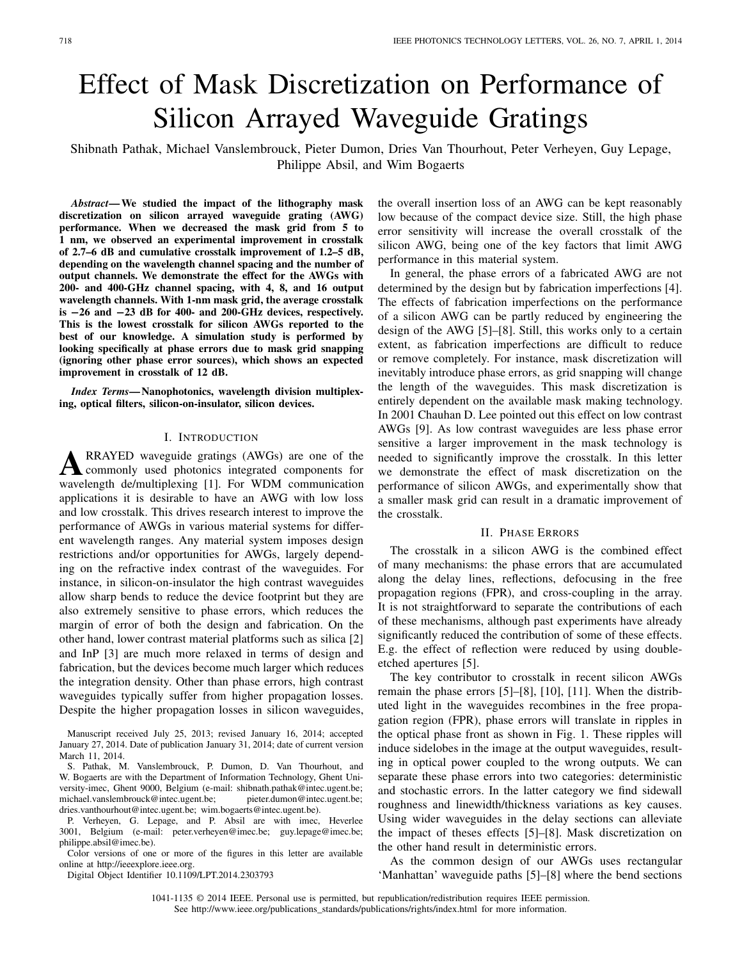# Effect of Mask Discretization on Performance of Silicon Arrayed Waveguide Gratings

Shibnath Pathak, Michael Vanslembrouck, Pieter Dumon, Dries Van Thourhout, Peter Verheyen, Guy Lepage, Philippe Absil, and Wim Bogaerts

*Abstract***— We studied the impact of the lithography mask discretization on silicon arrayed waveguide grating (AWG) performance. When we decreased the mask grid from 5 to 1 nm, we observed an experimental improvement in crosstalk of 2.7–6 dB and cumulative crosstalk improvement of 1.2–5 dB, depending on the wavelength channel spacing and the number of output channels. We demonstrate the effect for the AWGs with 200- and 400-GHz channel spacing, with 4, 8, and 16 output wavelength channels. With 1-nm mask grid, the average crosstalk is −26 and −23 dB for 400- and 200-GHz devices, respectively. This is the lowest crosstalk for silicon AWGs reported to the best of our knowledge. A simulation study is performed by looking specifically at phase errors due to mask grid snapping (ignoring other phase error sources), which shows an expected improvement in crosstalk of 12 dB.**

*Index Terms***— Nanophotonics, wavelength division multiplexing, optical filters, silicon-on-insulator, silicon devices.**

# I. INTRODUCTION

**A**RRAYED waveguide gratings (AWGs) are one of the commonly used photonics integrated components for wavelength de/multiplexing [1]. For WDM communication applications it is desirable to have an AWG with low loss and low crosstalk. This drives research interest to improve the performance of AWGs in various material systems for different wavelength ranges. Any material system imposes design restrictions and/or opportunities for AWGs, largely depending on the refractive index contrast of the waveguides. For instance, in silicon-on-insulator the high contrast waveguides allow sharp bends to reduce the device footprint but they are also extremely sensitive to phase errors, which reduces the margin of error of both the design and fabrication. On the other hand, lower contrast material platforms such as silica [2] and InP [3] are much more relaxed in terms of design and fabrication, but the devices become much larger which reduces the integration density. Other than phase errors, high contrast waveguides typically suffer from higher propagation losses. Despite the higher propagation losses in silicon waveguides,

Manuscript received July 25, 2013; revised January 16, 2014; accepted January 27, 2014. Date of publication January 31, 2014; date of current version March 11, 2014.

P. Verheyen, G. Lepage, and P. Absil are with imec, Heverlee 3001, Belgium (e-mail: peter.verheyen@imec.be; guy.lepage@imec.be; philippe.absil@imec.be).

Color versions of one or more of the figures in this letter are available online at http://ieeexplore.ieee.org.

Digital Object Identifier 10.1109/LPT.2014.2303793

the overall insertion loss of an AWG can be kept reasonably low because of the compact device size. Still, the high phase error sensitivity will increase the overall crosstalk of the silicon AWG, being one of the key factors that limit AWG performance in this material system.

In general, the phase errors of a fabricated AWG are not determined by the design but by fabrication imperfections [4]. The effects of fabrication imperfections on the performance of a silicon AWG can be partly reduced by engineering the design of the AWG [5]–[8]. Still, this works only to a certain extent, as fabrication imperfections are difficult to reduce or remove completely. For instance, mask discretization will inevitably introduce phase errors, as grid snapping will change the length of the waveguides. This mask discretization is entirely dependent on the available mask making technology. In 2001 Chauhan D. Lee pointed out this effect on low contrast AWGs [9]. As low contrast waveguides are less phase error sensitive a larger improvement in the mask technology is needed to significantly improve the crosstalk. In this letter we demonstrate the effect of mask discretization on the performance of silicon AWGs, and experimentally show that a smaller mask grid can result in a dramatic improvement of the crosstalk.

#### II. PHASE ERRORS

The crosstalk in a silicon AWG is the combined effect of many mechanisms: the phase errors that are accumulated along the delay lines, reflections, defocusing in the free propagation regions (FPR), and cross-coupling in the array. It is not straightforward to separate the contributions of each of these mechanisms, although past experiments have already significantly reduced the contribution of some of these effects. E.g. the effect of reflection were reduced by using doubleetched apertures [5].

The key contributor to crosstalk in recent silicon AWGs remain the phase errors [5]–[8], [10], [11]. When the distributed light in the waveguides recombines in the free propagation region (FPR), phase errors will translate in ripples in the optical phase front as shown in Fig. 1. These ripples will induce sidelobes in the image at the output waveguides, resulting in optical power coupled to the wrong outputs. We can separate these phase errors into two categories: deterministic and stochastic errors. In the latter category we find sidewall roughness and linewidth/thickness variations as key causes. Using wider waveguides in the delay sections can alleviate the impact of theses effects [5]–[8]. Mask discretization on the other hand result in deterministic errors.

As the common design of our AWGs uses rectangular 'Manhattan' waveguide paths [5]–[8] where the bend sections

S. Pathak, M. Vanslembrouck, P. Dumon, D. Van Thourhout, and W. Bogaerts are with the Department of Information Technology, Ghent University-imec, Ghent 9000, Belgium (e-mail: shibnath.pathak@intec.ugent.be; michael.vanslembrouck@intec.ugent.be; pieter.dumon@intec.ugent.be; dries.vanthourhout@intec.ugent.be; wim.bogaerts@intec.ugent.be).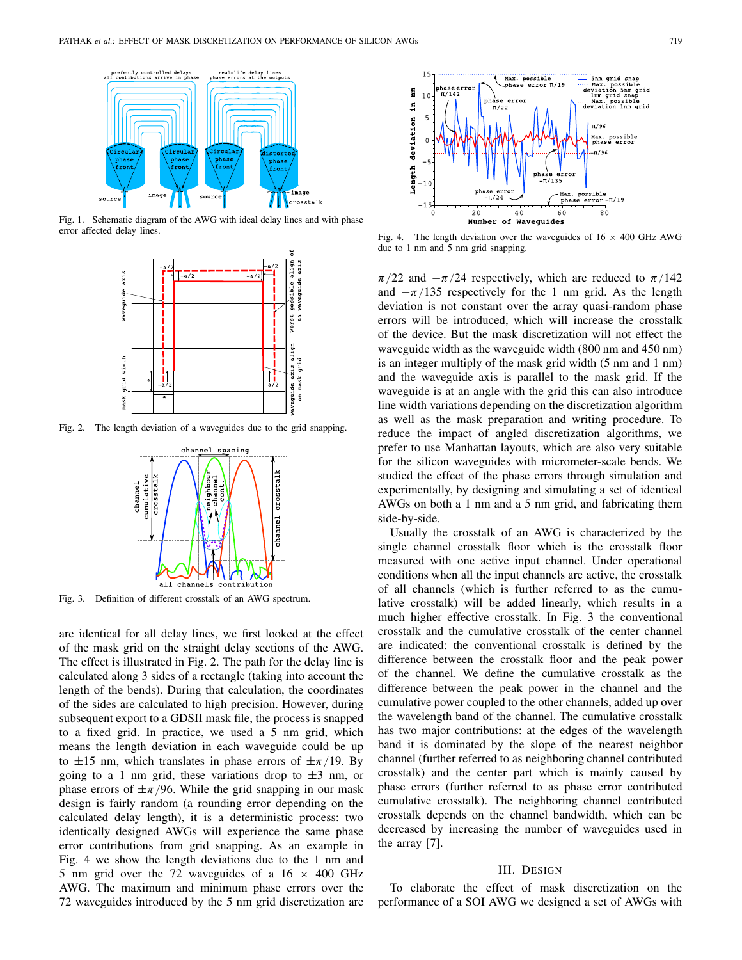

Fig. 1. Schematic diagram of the AWG with ideal delay lines and with phase error affected delay lines.



Fig. 2. The length deviation of a waveguides due to the grid snapping.



Fig. 3. Definition of different crosstalk of an AWG spectrum.

are identical for all delay lines, we first looked at the effect of the mask grid on the straight delay sections of the AWG. The effect is illustrated in Fig. 2. The path for the delay line is calculated along 3 sides of a rectangle (taking into account the length of the bends). During that calculation, the coordinates of the sides are calculated to high precision. However, during subsequent export to a GDSII mask file, the process is snapped to a fixed grid. In practice, we used a 5 nm grid, which means the length deviation in each waveguide could be up to  $\pm 15$  nm, which translates in phase errors of  $\pm \pi/19$ . By going to a 1 nm grid, these variations drop to  $\pm 3$  nm, or phase errors of  $\pm \pi/96$ . While the grid snapping in our mask design is fairly random (a rounding error depending on the calculated delay length), it is a deterministic process: two identically designed AWGs will experience the same phase error contributions from grid snapping. As an example in Fig. 4 we show the length deviations due to the 1 nm and 5 nm grid over the 72 waveguides of a  $16 \times 400$  GHz AWG. The maximum and minimum phase errors over the 72 waveguides introduced by the 5 nm grid discretization are



Fig. 4. The length deviation over the waveguides of  $16 \times 400$  GHz AWG due to 1 nm and 5 nm grid snapping.

 $\pi/22$  and  $-\pi/24$  respectively, which are reduced to  $\pi/142$ and  $-\pi/135$  respectively for the 1 nm grid. As the length deviation is not constant over the array quasi-random phase errors will be introduced, which will increase the crosstalk of the device. But the mask discretization will not effect the waveguide width as the waveguide width (800 nm and 450 nm) is an integer multiply of the mask grid width (5 nm and 1 nm) and the waveguide axis is parallel to the mask grid. If the waveguide is at an angle with the grid this can also introduce line width variations depending on the discretization algorithm as well as the mask preparation and writing procedure. To reduce the impact of angled discretization algorithms, we prefer to use Manhattan layouts, which are also very suitable for the silicon waveguides with micrometer-scale bends. We studied the effect of the phase errors through simulation and experimentally, by designing and simulating a set of identical AWGs on both a 1 nm and a 5 nm grid, and fabricating them side-by-side.

Usually the crosstalk of an AWG is characterized by the single channel crosstalk floor which is the crosstalk floor measured with one active input channel. Under operational conditions when all the input channels are active, the crosstalk of all channels (which is further referred to as the cumulative crosstalk) will be added linearly, which results in a much higher effective crosstalk. In Fig. 3 the conventional crosstalk and the cumulative crosstalk of the center channel are indicated: the conventional crosstalk is defined by the difference between the crosstalk floor and the peak power of the channel. We define the cumulative crosstalk as the difference between the peak power in the channel and the cumulative power coupled to the other channels, added up over the wavelength band of the channel. The cumulative crosstalk has two major contributions: at the edges of the wavelength band it is dominated by the slope of the nearest neighbor channel (further referred to as neighboring channel contributed crosstalk) and the center part which is mainly caused by phase errors (further referred to as phase error contributed cumulative crosstalk). The neighboring channel contributed crosstalk depends on the channel bandwidth, which can be decreased by increasing the number of waveguides used in the array [7].

#### III. DESIGN

To elaborate the effect of mask discretization on the performance of a SOI AWG we designed a set of AWGs with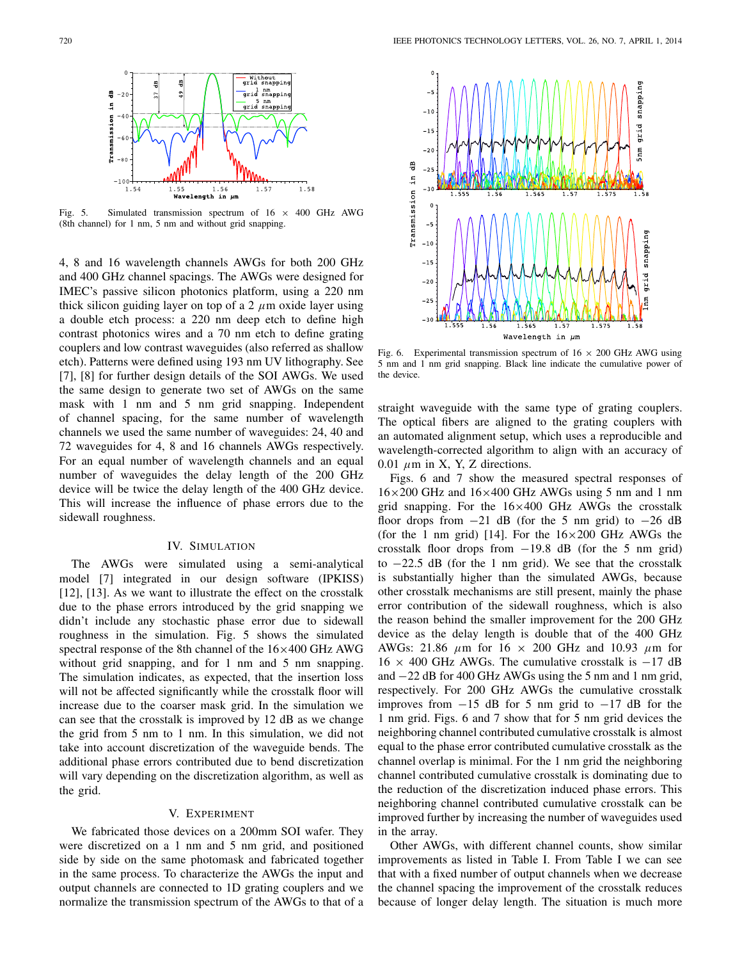

Fig. 5. Simulated transmission spectrum of  $16 \times 400$  GHz AWG (8th channel) for 1 nm, 5 nm and without grid snapping.

4, 8 and 16 wavelength channels AWGs for both 200 GHz and 400 GHz channel spacings. The AWGs were designed for IMEC's passive silicon photonics platform, using a 220 nm thick silicon guiding layer on top of a 2  $\mu$ m oxide layer using a double etch process: a 220 nm deep etch to define high contrast photonics wires and a 70 nm etch to define grating couplers and low contrast waveguides (also referred as shallow etch). Patterns were defined using 193 nm UV lithography. See [7], [8] for further design details of the SOI AWGs. We used the same design to generate two set of AWGs on the same mask with 1 nm and 5 nm grid snapping. Independent of channel spacing, for the same number of wavelength channels we used the same number of waveguides: 24, 40 and 72 waveguides for 4, 8 and 16 channels AWGs respectively. For an equal number of wavelength channels and an equal number of waveguides the delay length of the 200 GHz device will be twice the delay length of the 400 GHz device. This will increase the influence of phase errors due to the sidewall roughness.

### IV. SIMULATION

The AWGs were simulated using a semi-analytical model [7] integrated in our design software (IPKISS) [12], [13]. As we want to illustrate the effect on the crosstalk due to the phase errors introduced by the grid snapping we didn't include any stochastic phase error due to sidewall roughness in the simulation. Fig. 5 shows the simulated spectral response of the 8th channel of the 16×400 GHz AWG without grid snapping, and for 1 nm and 5 nm snapping. The simulation indicates, as expected, that the insertion loss will not be affected significantly while the crosstalk floor will increase due to the coarser mask grid. In the simulation we can see that the crosstalk is improved by 12 dB as we change the grid from 5 nm to 1 nm. In this simulation, we did not take into account discretization of the waveguide bends. The additional phase errors contributed due to bend discretization will vary depending on the discretization algorithm, as well as the grid.

### V. EXPERIMENT

We fabricated those devices on a 200mm SOI wafer. They were discretized on a 1 nm and 5 nm grid, and positioned side by side on the same photomask and fabricated together in the same process. To characterize the AWGs the input and output channels are connected to 1D grating couplers and we normalize the transmission spectrum of the AWGs to that of a



Fig. 6. Experimental transmission spectrum of  $16 \times 200$  GHz AWG using 5 nm and 1 nm grid snapping. Black line indicate the cumulative power of the device.

straight waveguide with the same type of grating couplers. The optical fibers are aligned to the grating couplers with an automated alignment setup, which uses a reproducible and wavelength-corrected algorithm to align with an accuracy of 0.01  $\mu$ m in X, Y, Z directions.

Figs. 6 and 7 show the measured spectral responses of  $16\times200$  GHz and  $16\times400$  GHz AWGs using 5 nm and 1 nm grid snapping. For the 16×400 GHz AWGs the crosstalk floor drops from  $-21$  dB (for the 5 nm grid) to  $-26$  dB (for the 1 nm grid) [14]. For the  $16\times200$  GHz AWGs the crosstalk floor drops from  $-19.8$  dB (for the 5 nm grid) to  $-22.5$  dB (for the 1 nm grid). We see that the crosstalk is substantially higher than the simulated AWGs, because other crosstalk mechanisms are still present, mainly the phase error contribution of the sidewall roughness, which is also the reason behind the smaller improvement for the 200 GHz device as the delay length is double that of the 400 GHz AWGs: 21.86  $\mu$ m for 16  $\times$  200 GHz and 10.93  $\mu$ m for  $16 \times 400$  GHz AWGs. The cumulative crosstalk is  $-17$  dB and −22 dB for 400 GHz AWGs using the 5 nm and 1 nm grid, respectively. For 200 GHz AWGs the cumulative crosstalk improves from −15 dB for 5 nm grid to −17 dB for the 1 nm grid. Figs. 6 and 7 show that for 5 nm grid devices the neighboring channel contributed cumulative crosstalk is almost equal to the phase error contributed cumulative crosstalk as the channel overlap is minimal. For the 1 nm grid the neighboring channel contributed cumulative crosstalk is dominating due to the reduction of the discretization induced phase errors. This neighboring channel contributed cumulative crosstalk can be improved further by increasing the number of waveguides used in the array.

Other AWGs, with different channel counts, show similar improvements as listed in Table I. From Table I we can see that with a fixed number of output channels when we decrease the channel spacing the improvement of the crosstalk reduces because of longer delay length. The situation is much more